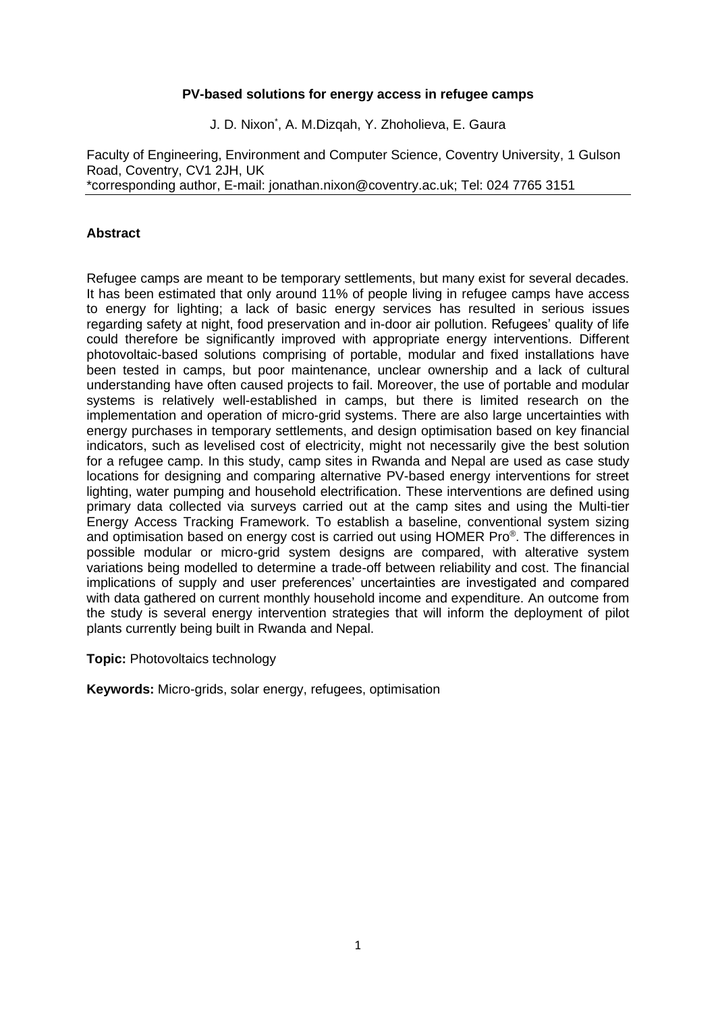#### **PV-based solutions for energy access in refugee camps**

J. D. Nixon\* , A. M.Dizqah, Y. Zhoholieva, E. Gaura

Faculty of Engineering, Environment and Computer Science, Coventry University, 1 Gulson Road, Coventry, CV1 2JH, UK \*corresponding author, E-mail: jonathan.nixon@coventry.ac.uk; Tel: 024 7765 3151

### **Abstract**

Refugee camps are meant to be temporary settlements, but many exist for several decades. It has been estimated that only around 11% of people living in refugee camps have access to energy for lighting; a lack of basic energy services has resulted in serious issues regarding safety at night, food preservation and in-door air pollution. Refugees' quality of life could therefore be significantly improved with appropriate energy interventions. Different photovoltaic-based solutions comprising of portable, modular and fixed installations have been tested in camps, but poor maintenance, unclear ownership and a lack of cultural understanding have often caused projects to fail. Moreover, the use of portable and modular systems is relatively well-established in camps, but there is limited research on the implementation and operation of micro-grid systems. There are also large uncertainties with energy purchases in temporary settlements, and design optimisation based on key financial indicators, such as levelised cost of electricity, might not necessarily give the best solution for a refugee camp. In this study, camp sites in Rwanda and Nepal are used as case study locations for designing and comparing alternative PV-based energy interventions for street lighting, water pumping and household electrification. These interventions are defined using primary data collected via surveys carried out at the camp sites and using the Multi-tier Energy Access Tracking Framework. To establish a baseline, conventional system sizing and optimisation based on energy cost is carried out using HOMER Pro®. The differences in possible modular or micro-grid system designs are compared, with alterative system variations being modelled to determine a trade-off between reliability and cost. The financial implications of supply and user preferences' uncertainties are investigated and compared with data gathered on current monthly household income and expenditure. An outcome from the study is several energy intervention strategies that will inform the deployment of pilot plants currently being built in Rwanda and Nepal.

**Topic:** Photovoltaics technology

**Keywords:** Micro-grids, solar energy, refugees, optimisation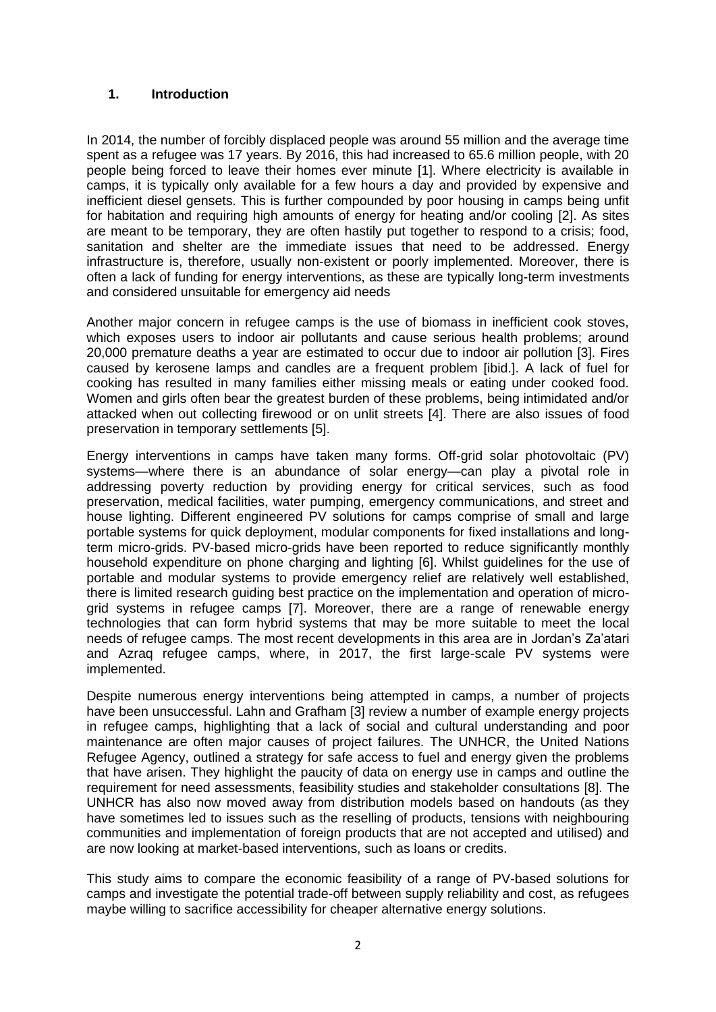## **1. Introduction**

In 2014, the number of forcibly displaced people was around 55 million and the average time spent as a refugee was 17 years. By 2016, this had increased to 65.6 million people. with 20 people being forced to leave their homes ever minute [1]. Where electricity is available in camps, it is typically only available for a few hours a day and provided by expensive and inefficient diesel gensets. This is further compounded by poor housing in camps being unfit for habitation and requiring high amounts of energy for heating and/or cooling [2]. As sites are meant to be temporary, they are often hastily put together to respond to a crisis; food, sanitation and shelter are the immediate issues that need to be addressed. Energy infrastructure is, therefore, usually non-existent or poorly implemented. Moreover, there is often a lack of funding for energy interventions, as these are typically long-term investments and considered unsuitable for emergency aid needs

Another major concern in refugee camps is the use of biomass in inefficient cook stoves, which exposes users to indoor air pollutants and cause serious health problems: around 20,000 premature deaths a year are estimated to occur due to indoor air pollution [3]. Fires caused by kerosene lamps and candles are a frequent problem [ibid.]. A lack of fuel for cooking has resulted in many families either missing meals or eating under cooked food. Women and girls often bear the greatest burden of these problems, being intimidated and/or attacked when out collecting firewood or on unlit streets [4]. There are also issues of food preservation in temporary settlements [5].

Energy interventions in camps have taken many forms. Off-grid solar photovoltaic (PV) systems—where there is an abundance of solar energy—can play a pivotal role in addressing poverty reduction by providing energy for critical services, such as food preservation, medical facilities, water pumping, emergency communications, and street and house lighting. Different engineered PV solutions for camps comprise of small and large portable systems for quick deployment, modular components for fixed installations and longterm micro-grids. PV-based micro-grids have been reported to reduce significantly monthly household expenditure on phone charging and lighting [6]. Whilst guidelines for the use of portable and modular systems to provide emergency relief are relatively well established, there is limited research guiding best practice on the implementation and operation of microgrid systems in refugee camps [7]. Moreover, there are a range of renewable energy technologies that can form hybrid systems that may be more suitable to meet the local needs of refugee camps. The most recent developments in this area are in Jordan's Za'atari and Azraq refugee camps, where, in 2017, the first large-scale PV systems were implemented.

Despite numerous energy interventions being attempted in camps, a number of projects have been unsuccessful. Lahn and Grafham [3] review a number of example energy projects in refugee camps, highlighting that a lack of social and cultural understanding and poor maintenance are often major causes of project failures. The UNHCR, the United Nations Refugee Agency, outlined a strategy for safe access to fuel and energy given the problems that have arisen. They highlight the paucity of data on energy use in camps and outline the requirement for need assessments, feasibility studies and stakeholder consultations [8]. The UNHCR has also now moved away from distribution models based on handouts (as they have sometimes led to issues such as the reselling of products, tensions with neighbouring communities and implementation of foreign products that are not accepted and utilised) and are now looking at market-based interventions, such as loans or credits.

This study aims to compare the economic feasibility of a range of PV-based solutions for camps and investigate the potential trade-off between supply reliability and cost, as refugees maybe willing to sacrifice accessibility for cheaper alternative energy solutions.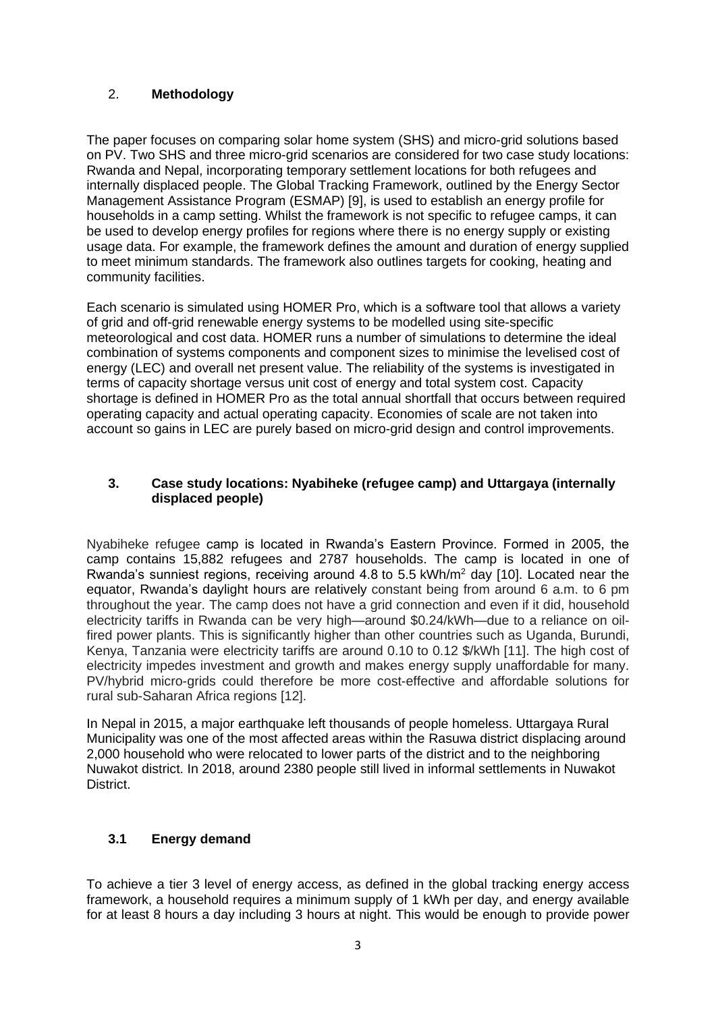# 2. **Methodology**

The paper focuses on comparing solar home system (SHS) and micro-grid solutions based on PV. Two SHS and three micro-grid scenarios are considered for two case study locations: Rwanda and Nepal, incorporating temporary settlement locations for both refugees and internally displaced people. The Global Tracking Framework, outlined by the Energy Sector Management Assistance Program (ESMAP) [9], is used to establish an energy profile for households in a camp setting. Whilst the framework is not specific to refugee camps, it can be used to develop energy profiles for regions where there is no energy supply or existing usage data. For example, the framework defines the amount and duration of energy supplied to meet minimum standards. The framework also outlines targets for cooking, heating and community facilities.

Each scenario is simulated using HOMER Pro, which is a software tool that allows a variety of grid and off-grid renewable energy systems to be modelled using site-specific meteorological and cost data. HOMER runs a number of simulations to determine the ideal combination of systems components and component sizes to minimise the levelised cost of energy (LEC) and overall net present value. The reliability of the systems is investigated in terms of capacity shortage versus unit cost of energy and total system cost. Capacity shortage is defined in HOMER Pro as the total annual shortfall that occurs between required operating capacity and actual operating capacity. Economies of scale are not taken into account so gains in LEC are purely based on micro-grid design and control improvements.

# **3. Case study locations: Nyabiheke (refugee camp) and Uttargaya (internally displaced people)**

Nyabiheke refugee camp is located in Rwanda's Eastern Province. Formed in 2005, the camp contains 15,882 refugees and 2787 households. The camp is located in one of Rwanda's sunniest regions, receiving around 4.8 to 5.5 kWh/m<sup>2</sup> day [10]. Located near the equator, Rwanda's daylight hours are relatively constant being from around 6 a.m. to 6 pm throughout the year. The camp does not have a grid connection and even if it did, household electricity tariffs in Rwanda can be very high—around \$0.24/kWh—due to a reliance on oilfired power plants. This is significantly higher than other countries such as Uganda, Burundi, Kenya, Tanzania were electricity tariffs are around 0.10 to 0.12 \$/kWh [11]. The high cost of electricity impedes investment and growth and makes energy supply unaffordable for many. PV/hybrid micro-grids could therefore be more cost-effective and affordable solutions for rural sub-Saharan Africa regions [12].

In Nepal in 2015, a major earthquake left thousands of people homeless. Uttargaya Rural Municipality was one of the most affected areas within the Rasuwa district displacing around 2,000 household who were relocated to lower parts of the district and to the neighboring Nuwakot district. In 2018, around 2380 people still lived in informal settlements in Nuwakot District.

# **3.1 Energy demand**

To achieve a tier 3 level of energy access, as defined in the global tracking energy access framework, a household requires a minimum supply of 1 kWh per day, and energy available for at least 8 hours a day including 3 hours at night. This would be enough to provide power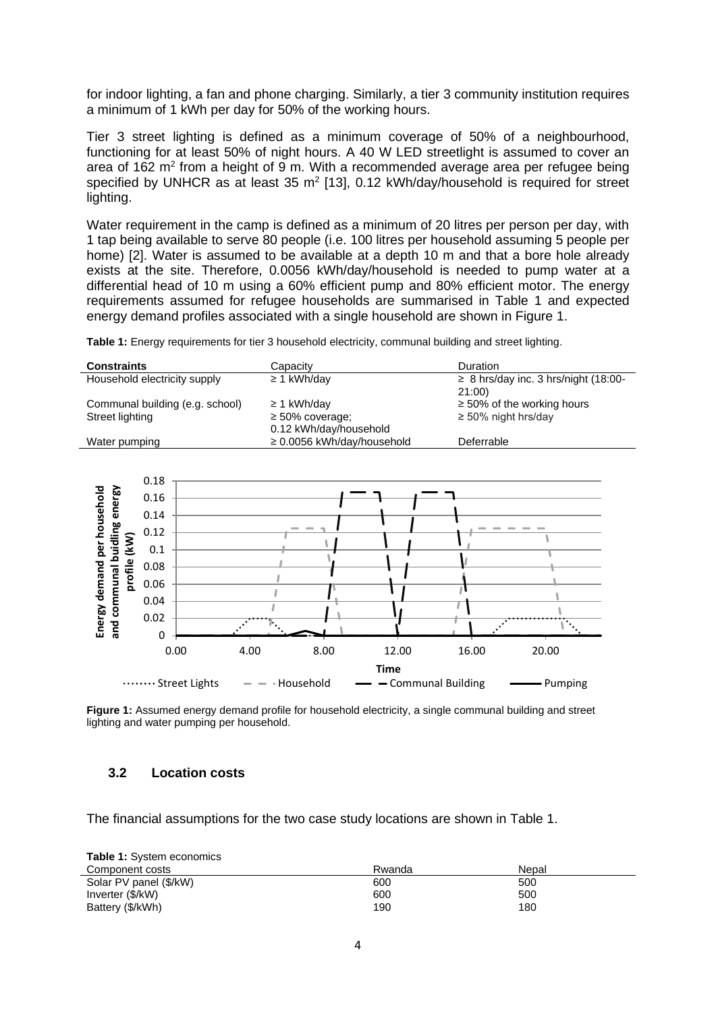for indoor lighting, a fan and phone charging. Similarly, a tier 3 community institution requires a minimum of 1 kWh per day for 50% of the working hours.

Tier 3 street lighting is defined as a minimum coverage of 50% of a neighbourhood, functioning for at least 50% of night hours. A 40 W LED streetlight is assumed to cover an area of 162  $m<sup>2</sup>$  from a height of 9 m. With a recommended average area per refugee being specified by UNHCR as at least 35  $m^2$  [13], 0.12 kWh/day/household is required for street lighting.

Water requirement in the camp is defined as a minimum of 20 litres per person per day, with 1 tap being available to serve 80 people (i.e. 100 litres per household assuming 5 people per home) [2]. Water is assumed to be available at a depth 10 m and that a bore hole already exists at the site. Therefore, 0.0056 kWh/day/household is needed to pump water at a differential head of 10 m using a 60% efficient pump and 80% efficient motor. The energy requirements assumed for refugee households are summarised in Table 1 and expected energy demand profiles associated with a single household are shown in Figure 1.

**Table 1:** Energy requirements for tier 3 household electricity, communal building and street lighting.

| <b>Constraints</b>              | Capacity                        | Duration                                  |
|---------------------------------|---------------------------------|-------------------------------------------|
| Household electricity supply    | $\geq$ 1 kWh/day                | $\geq$ 8 hrs/day inc. 3 hrs/night (18:00- |
|                                 |                                 | 21:00                                     |
| Communal building (e.g. school) | $\geq$ 1 kWh/day                | $\geq$ 50% of the working hours           |
| Street lighting                 | $\geq 50\%$ coverage;           | $\geq$ 50% night hrs/day                  |
|                                 | 0.12 kWh/day/household          |                                           |
| Water pumping                   | $\geq$ 0.0056 kWh/day/household | Deferrable                                |



Figure 1: Assumed energy demand profile for household electricity, a single communal building and street lighting and water pumping per household.

#### **3.2 Location costs**

The financial assumptions for the two case study locations are shown in Table 1.

| <b>Table 1:</b> System economics |        |       |  |  |  |  |
|----------------------------------|--------|-------|--|--|--|--|
| Component costs                  | Rwanda | Nepal |  |  |  |  |
| Solar PV panel (\$/kW)           | 600    | 500   |  |  |  |  |
| Inverter (\$/kW)                 | 600    | 500   |  |  |  |  |
| Battery (\$/kWh)                 | 190    | 180   |  |  |  |  |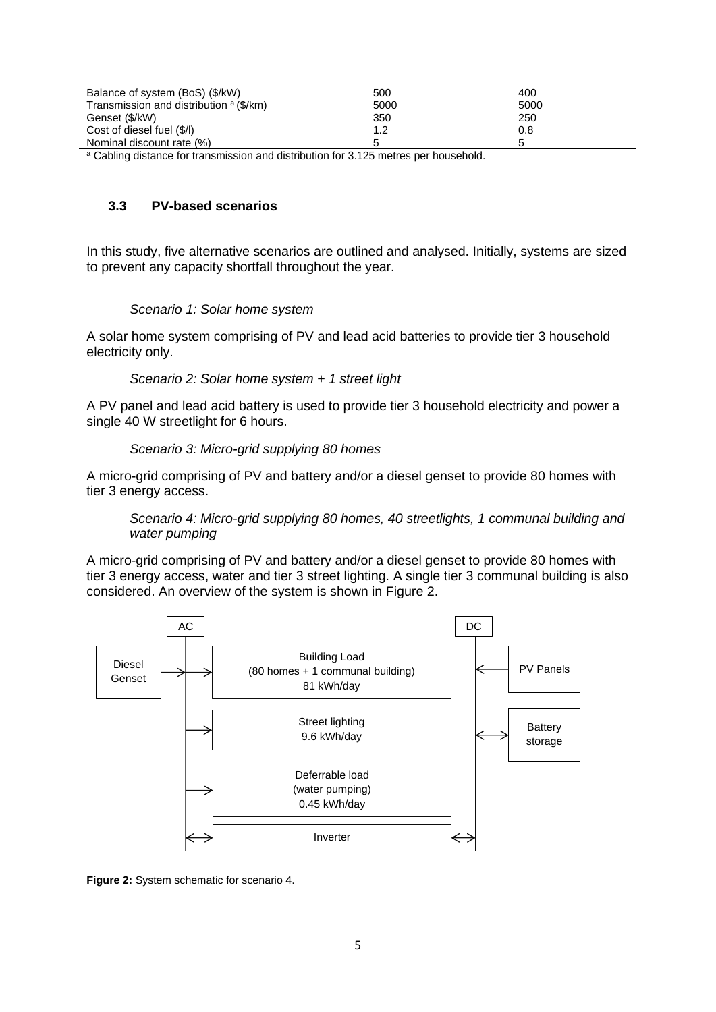| Balance of system (BoS) (\$/kW)                    | 500  | 400  |
|----------------------------------------------------|------|------|
| Transmission and distribution <sup>a</sup> (\$/km) | 5000 | 5000 |
| Genset (\$/kW)                                     | 350  | 250  |
| Cost of diesel fuel (\$/l)                         | 1.2  | 0.8  |
| Nominal discount rate (%)                          |      |      |
|                                                    |      |      |

 $\overline{a}$  Cabling distance for transmission and distribution for 3.125 metres per household.

## **3.3 PV-based scenarios**

In this study, five alternative scenarios are outlined and analysed. Initially, systems are sized to prevent any capacity shortfall throughout the year.

### *Scenario 1: Solar home system*

A solar home system comprising of PV and lead acid batteries to provide tier 3 household electricity only.

*Scenario 2: Solar home system + 1 street light*

A PV panel and lead acid battery is used to provide tier 3 household electricity and power a single 40 W streetlight for 6 hours.

### *Scenario 3: Micro-grid supplying 80 homes*

A micro-grid comprising of PV and battery and/or a diesel genset to provide 80 homes with tier 3 energy access.

*Scenario 4: Micro-grid supplying 80 homes, 40 streetlights, 1 communal building and water pumping*

A micro-grid comprising of PV and battery and/or a diesel genset to provide 80 homes with tier 3 energy access, water and tier 3 street lighting. A single tier 3 communal building is also considered. An overview of the system is shown in Figure 2.



**Figure 2:** System schematic for scenario 4.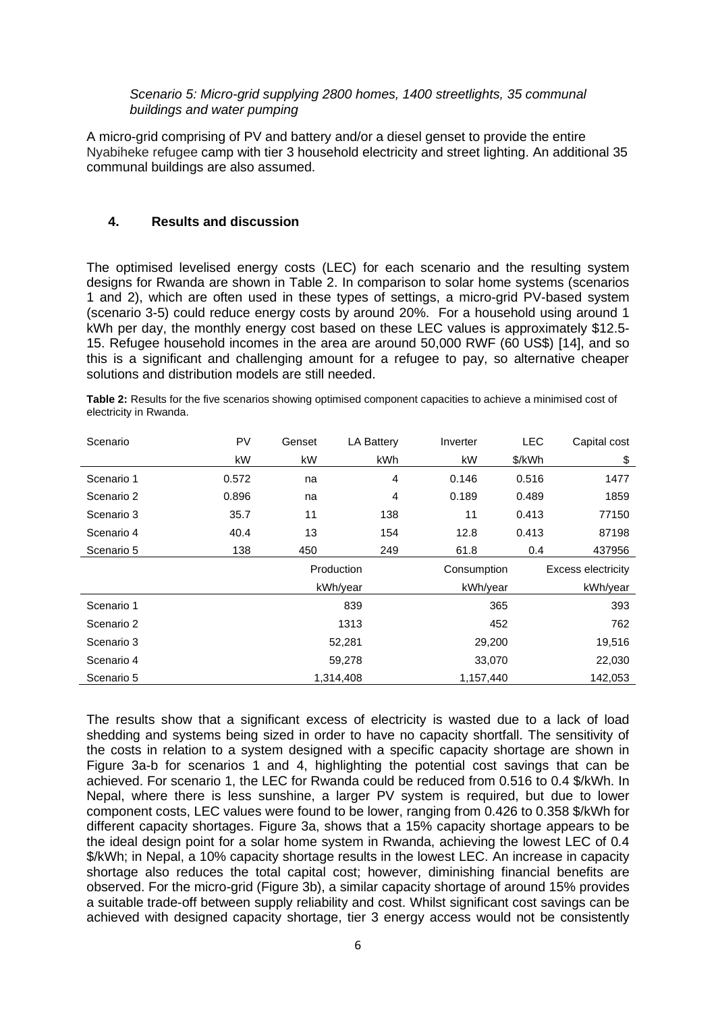#### *Scenario 5: Micro-grid supplying 2800 homes, 1400 streetlights, 35 communal buildings and water pumping*

A micro-grid comprising of PV and battery and/or a diesel genset to provide the entire Nyabiheke refugee camp with tier 3 household electricity and street lighting. An additional 35 communal buildings are also assumed.

## **4. Results and discussion**

The optimised levelised energy costs (LEC) for each scenario and the resulting system designs for Rwanda are shown in Table 2. In comparison to solar home systems (scenarios 1 and 2), which are often used in these types of settings, a micro-grid PV-based system (scenario 3-5) could reduce energy costs by around 20%. For a household using around 1 kWh per day, the monthly energy cost based on these LEC values is approximately \$12.5- 15. Refugee household incomes in the area are around 50,000 RWF (60 US\$) [14], and so this is a significant and challenging amount for a refugee to pay, so alternative cheaper solutions and distribution models are still needed.

| Scenario   | PV    | Genset | <b>LA Battery</b> | Inverter    | <b>LEC</b> | Capital cost              |
|------------|-------|--------|-------------------|-------------|------------|---------------------------|
|            | kW    | kW     | kWh               | kW          | \$/kWh     | \$                        |
| Scenario 1 | 0.572 | na     | $\overline{4}$    | 0.146       | 0.516      | 1477                      |
| Scenario 2 | 0.896 | na     | 4                 | 0.189       | 0.489      | 1859                      |
| Scenario 3 | 35.7  | 11     | 138               | 11          | 0.413      | 77150                     |
| Scenario 4 | 40.4  | 13     | 154               | 12.8        | 0.413      | 87198                     |
| Scenario 5 | 138   | 450    | 249               | 61.8        | 0.4        | 437956                    |
|            |       |        | Production        | Consumption |            | <b>Excess electricity</b> |
|            |       |        | kWh/year          | kWh/year    |            | kWh/year                  |
| Scenario 1 |       |        | 839               |             | 365        | 393                       |
| Scenario 2 |       |        | 1313              |             | 452        | 762                       |
| Scenario 3 |       |        | 52,281            | 29,200      |            | 19,516                    |
| Scenario 4 |       |        | 59,278            | 33,070      |            | 22,030                    |
| Scenario 5 |       |        | 1,314,408         | 1,157,440   |            | 142,053                   |

**Table 2:** Results for the five scenarios showing optimised component capacities to achieve a minimised cost of electricity in Rwanda.

The results show that a significant excess of electricity is wasted due to a lack of load shedding and systems being sized in order to have no capacity shortfall. The sensitivity of the costs in relation to a system designed with a specific capacity shortage are shown in Figure 3a-b for scenarios 1 and 4, highlighting the potential cost savings that can be achieved. For scenario 1, the LEC for Rwanda could be reduced from 0.516 to 0.4 \$/kWh. In Nepal, where there is less sunshine, a larger PV system is required, but due to lower component costs, LEC values were found to be lower, ranging from 0.426 to 0.358 \$/kWh for different capacity shortages. Figure 3a, shows that a 15% capacity shortage appears to be the ideal design point for a solar home system in Rwanda, achieving the lowest LEC of 0.4 \$/kWh; in Nepal, a 10% capacity shortage results in the lowest LEC. An increase in capacity shortage also reduces the total capital cost; however, diminishing financial benefits are observed. For the micro-grid (Figure 3b), a similar capacity shortage of around 15% provides a suitable trade-off between supply reliability and cost. Whilst significant cost savings can be achieved with designed capacity shortage, tier 3 energy access would not be consistently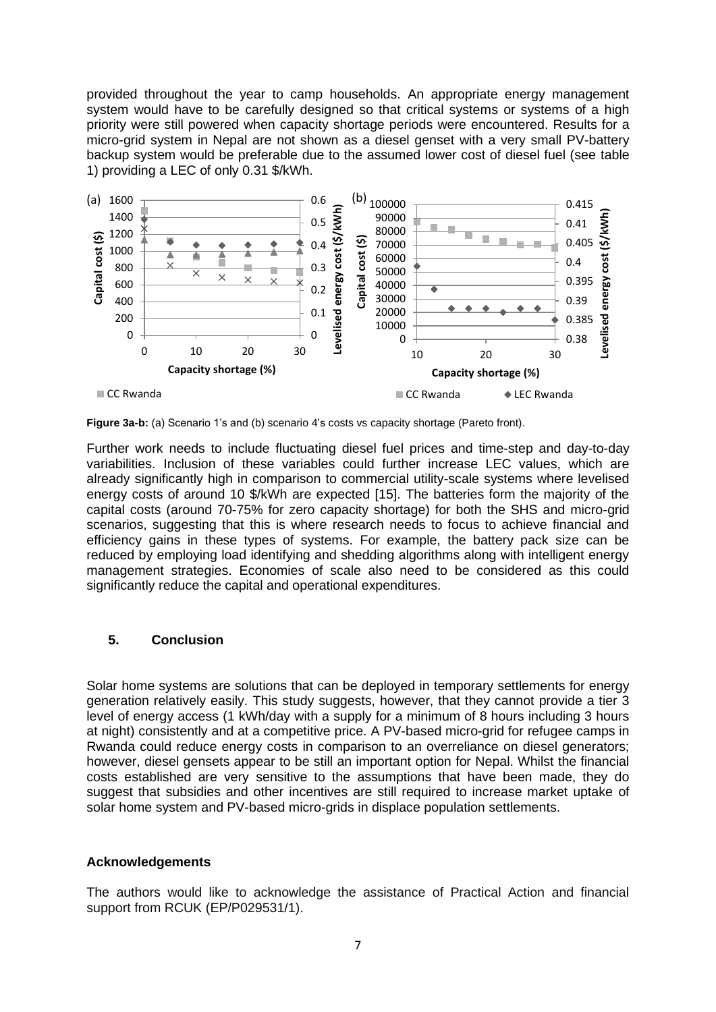provided throughout the year to camp households. An appropriate energy management system would have to be carefully designed so that critical systems or systems of a high priority were still powered when capacity shortage periods were encountered. Results for a micro-grid system in Nepal are not shown as a diesel genset with a very small PV-battery backup system would be preferable due to the assumed lower cost of diesel fuel (see table 1) providing a LEC of only 0.31 \$/kWh.



**Figure 3a-b:** (a) Scenario 1's and (b) scenario 4's costs vs capacity shortage (Pareto front).

Further work needs to include fluctuating diesel fuel prices and time-step and day-to-day variabilities. Inclusion of these variables could further increase LEC values, which are already significantly high in comparison to commercial utility-scale systems where levelised energy costs of around 10 \$/kWh are expected [15]. The batteries form the majority of the capital costs (around 70-75% for zero capacity shortage) for both the SHS and micro-grid scenarios, suggesting that this is where research needs to focus to achieve financial and efficiency gains in these types of systems. For example, the battery pack size can be reduced by employing load identifying and shedding algorithms along with intelligent energy management strategies. Economies of scale also need to be considered as this could significantly reduce the capital and operational expenditures.

## **5. Conclusion**

Solar home systems are solutions that can be deployed in temporary settlements for energy generation relatively easily. This study suggests, however, that they cannot provide a tier 3 level of energy access (1 kWh/day with a supply for a minimum of 8 hours including 3 hours at night) consistently and at a competitive price. A PV-based micro-grid for refugee camps in Rwanda could reduce energy costs in comparison to an overreliance on diesel generators; however, diesel gensets appear to be still an important option for Nepal. Whilst the financial costs established are very sensitive to the assumptions that have been made, they do suggest that subsidies and other incentives are still required to increase market uptake of solar home system and PV-based micro-grids in displace population settlements.

#### **Acknowledgements**

The authors would like to acknowledge the assistance of Practical Action and financial support from RCUK (EP/P029531/1).